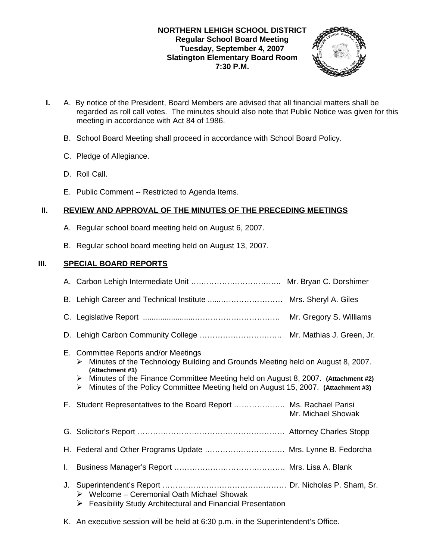## **NORTHERN LEHIGH SCHOOL DISTRICT Regular School Board Meeting Tuesday, September 4, 2007 Slatington Elementary Board Room 7:30 P.M.**



- **I.** A. By notice of the President, Board Members are advised that all financial matters shall be regarded as roll call votes. The minutes should also note that Public Notice was given for this meeting in accordance with Act 84 of 1986.
	- B. School Board Meeting shall proceed in accordance with School Board Policy.
	- C. Pledge of Allegiance.
	- D. Roll Call.
	- E. Public Comment -- Restricted to Agenda Items.

# **II. REVIEW AND APPROVAL OF THE MINUTES OF THE PRECEDING MEETINGS**

- A. Regular school board meeting held on August 6, 2007.
- B. Regular school board meeting held on August 13, 2007.

# **III. SPECIAL BOARD REPORTS**

|    | Mr. Gregory S. Williams                                                                                                                                                                                                                                                                                                          |
|----|----------------------------------------------------------------------------------------------------------------------------------------------------------------------------------------------------------------------------------------------------------------------------------------------------------------------------------|
|    |                                                                                                                                                                                                                                                                                                                                  |
|    | E. Committee Reports and/or Meetings<br>Minutes of the Technology Building and Grounds Meeting held on August 8, 2007.<br>➤<br>(Attachment #1)<br>Minutes of the Finance Committee Meeting held on August 8, 2007. (Attachment #2)<br>➤<br>Minutes of the Policy Committee Meeting held on August 15, 2007. (Attachment #3)<br>➤ |
|    | F. Student Representatives to the Board Report  Ms. Rachael Parisi<br>Mr. Michael Showak                                                                                                                                                                                                                                         |
|    |                                                                                                                                                                                                                                                                                                                                  |
|    | H. Federal and Other Programs Update  Mrs. Lynne B. Fedorcha                                                                                                                                                                                                                                                                     |
| L. |                                                                                                                                                                                                                                                                                                                                  |
| J. | $\triangleright$ Welcome – Ceremonial Oath Michael Showak<br><b>Feasibility Study Architectural and Financial Presentation</b><br>➤                                                                                                                                                                                              |

K. An executive session will be held at 6:30 p.m. in the Superintendent's Office.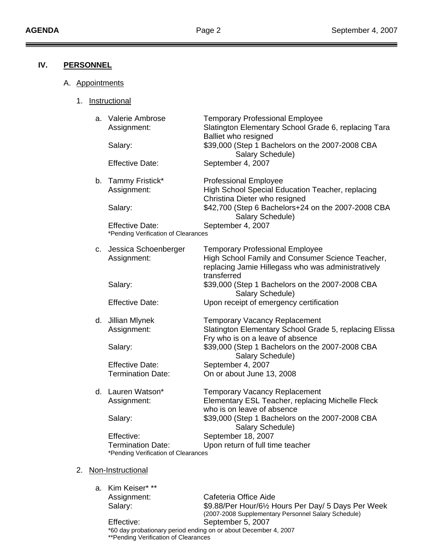# **IV. PERSONNEL**

- A. Appointments
	- 1. Instructional

|  | a. Valerie Ambrose<br>Assignment:<br>Salary:                    | <b>Temporary Professional Employee</b><br>Slatington Elementary School Grade 6, replacing Tara<br><b>Balliet who resigned</b><br>\$39,000 (Step 1 Bachelors on the 2007-2008 CBA<br>Salary Schedule) |
|--|-----------------------------------------------------------------|------------------------------------------------------------------------------------------------------------------------------------------------------------------------------------------------------|
|  | <b>Effective Date:</b>                                          | September 4, 2007                                                                                                                                                                                    |
|  | b. Tammy Fristick*<br>Assignment:                               | <b>Professional Employee</b><br>High School Special Education Teacher, replacing<br>Christina Dieter who resigned                                                                                    |
|  | Salary:                                                         | \$42,700 (Step 6 Bachelors+24 on the 2007-2008 CBA<br>Salary Schedule)                                                                                                                               |
|  | <b>Effective Date:</b><br>*Pending Verification of Clearances   | September 4, 2007                                                                                                                                                                                    |
|  | c. Jessica Schoenberger<br>Assignment:                          | <b>Temporary Professional Employee</b><br>High School Family and Consumer Science Teacher,<br>replacing Jamie Hillegass who was administratively<br>transferred                                      |
|  | Salary:                                                         | \$39,000 (Step 1 Bachelors on the 2007-2008 CBA<br>Salary Schedule)                                                                                                                                  |
|  | <b>Effective Date:</b>                                          | Upon receipt of emergency certification                                                                                                                                                              |
|  | d. Jillian Mlynek<br>Assignment:                                | <b>Temporary Vacancy Replacement</b><br>Slatington Elementary School Grade 5, replacing Elissa<br>Fry who is on a leave of absence                                                                   |
|  | Salary:                                                         | \$39,000 (Step 1 Bachelors on the 2007-2008 CBA<br>Salary Schedule)                                                                                                                                  |
|  | <b>Effective Date:</b>                                          | September 4, 2007                                                                                                                                                                                    |
|  | <b>Termination Date:</b>                                        | On or about June 13, 2008                                                                                                                                                                            |
|  | d. Lauren Watson*                                               | <b>Temporary Vacancy Replacement</b>                                                                                                                                                                 |
|  | Assignment:                                                     | Elementary ESL Teacher, replacing Michelle Fleck<br>who is on leave of absence                                                                                                                       |
|  | Salary:                                                         | \$39,000 (Step 1 Bachelors on the 2007-2008 CBA<br>Salary Schedule)                                                                                                                                  |
|  | Effective:                                                      | September 18, 2007                                                                                                                                                                                   |
|  | <b>Termination Date:</b><br>*Pending Verification of Clearances | Upon return of full time teacher                                                                                                                                                                     |
|  |                                                                 |                                                                                                                                                                                                      |

### 2. Non-Instructional

a. Kim Keiser\* \*\*

 Assignment: Cafeteria Office Aide Salary: **\$9.88/Per Hour/6½ Hours Per Day/ 5 Days Per Week**  (2007-2008 Supplementary Personnel Salary Schedule) Effective: September 5, 2007

\*60 day probationary period ending on or about December 4, 2007 \*\*Pending Verification of Clearances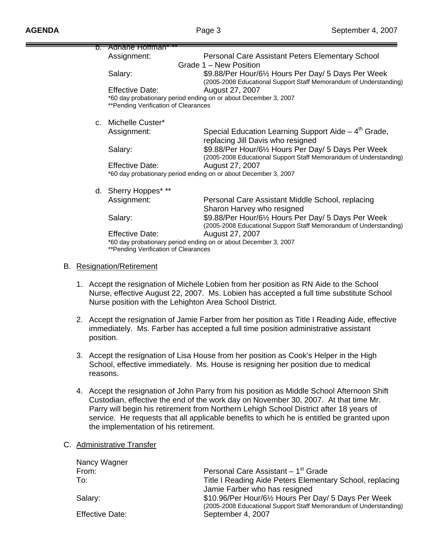|         | <del>Adriane Hoffman</del>                              |                                                                                                                                                                                   |
|---------|---------------------------------------------------------|-----------------------------------------------------------------------------------------------------------------------------------------------------------------------------------|
|         | Assignment:                                             | Personal Care Assistant Peters Elementary School                                                                                                                                  |
|         |                                                         | Grade 1 – New Position                                                                                                                                                            |
|         | Salary:                                                 | \$9.88/Per Hour/61/2 Hours Per Day/ 5 Days Per Week<br>(2005-2008 Educational Support Staff Memorandum of Understanding)                                                          |
|         | <b>Effective Date:</b>                                  | August 27, 2007                                                                                                                                                                   |
|         |                                                         | *60 day probationary period ending on or about December 3, 2007                                                                                                                   |
|         | **Pending Verification of Clearances                    |                                                                                                                                                                                   |
| $C_{-}$ | Michelle Custer*                                        |                                                                                                                                                                                   |
|         | Assignment:                                             | Special Education Learning Support Aide $-4th$ Grade,<br>replacing Jill Davis who resigned                                                                                        |
|         | Salary:                                                 | \$9.88/Per Hour/61/2 Hours Per Day/ 5 Days Per Week<br>(2005-2008 Educational Support Staff Memorandum of Understanding)                                                          |
|         | <b>Effective Date:</b>                                  | August 27, 2007                                                                                                                                                                   |
|         |                                                         | *60 day probationary period ending on or about December 3, 2007                                                                                                                   |
|         | d. Sherry Hoppes* **                                    |                                                                                                                                                                                   |
|         | Assignment:                                             | Personal Care Assistant Middle School, replacing<br>Sharon Harvey who resigned                                                                                                    |
|         | Salary:                                                 | \$9.88/Per Hour/61/2 Hours Per Day/ 5 Days Per Week<br>(2005-2008 Educational Support Staff Memorandum of Understanding)                                                          |
|         | <b>Effective Date:</b>                                  | August 27, 2007                                                                                                                                                                   |
|         | **Pending Verification of Clearances                    | *60 day probationary period ending on or about December 3, 2007                                                                                                                   |
|         | <b>B.</b> Resignation/Retirement                        |                                                                                                                                                                                   |
|         |                                                         |                                                                                                                                                                                   |
|         |                                                         | 1. Accept the resignation of Michele Lobien from her position as RN Aide to the School<br>Nurse, effective August 22, 2007. Ms. Lobien has accepted a full time substitute School |
|         | Nurse position with the Lehighton Area School District. |                                                                                                                                                                                   |

- 2. Accept the resignation of Jamie Farber from her position as Title I Reading Aide, effective immediately. Ms. Farber has accepted a full time position administrative assistant position.
- 3. Accept the resignation of Lisa House from her position as Cook's Helper in the High School, effective immediately. Ms. House is resigning her position due to medical reasons.
- 4. Accept the resignation of John Parry from his position as Middle School Afternoon Shift Custodian, effective the end of the work day on November 30, 2007. At that time Mr. Parry will begin his retirement from Northern Lehigh School District after 18 years of service. He requests that all applicable benefits to which he is entitled be granted upon the implementation of his retirement.

### C. Administrative Transfer

| Personal Care Assistant - 1 <sup>st</sup> Grade                   |
|-------------------------------------------------------------------|
| Title I Reading Aide Peters Elementary School, replacing          |
| Jamie Farber who has resigned                                     |
| \$10.96/Per Hour/61/2 Hours Per Day/ 5 Days Per Week              |
| (2005-2008 Educational Support Staff Memorandum of Understanding) |
| September 4, 2007                                                 |
|                                                                   |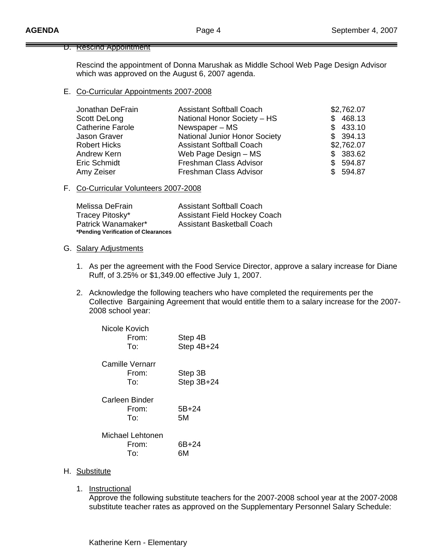#### D. Rescind Appointment

 Rescind the appointment of Donna Marushak as Middle School Web Page Design Advisor which was approved on the August 6, 2007 agenda.

### E. Co-Curricular Appointments 2007-2008

| Jonathan DeFrain        | <b>Assistant Softball Coach</b>      | \$2,762.07    |
|-------------------------|--------------------------------------|---------------|
| Scott DeLong            | National Honor Society - HS          | 468.13<br>\$. |
| <b>Catherine Farole</b> | Newspaper – MS                       | 433.10<br>\$. |
| Jason Graver            | <b>National Junior Honor Society</b> | \$394.13      |
| <b>Robert Hicks</b>     | <b>Assistant Softball Coach</b>      | \$2,762.07    |
| Andrew Kern             | Web Page Design - MS                 | \$383.62      |
| Eric Schmidt            | Freshman Class Advisor               | \$594.87      |
| Amy Zeiser              | Freshman Class Advisor               | \$594.87      |

### F. Co-Curricular Volunteers 2007-2008

| Melissa DeFrain                     | <b>Assistant Softball Coach</b>     |
|-------------------------------------|-------------------------------------|
| Tracey Pitosky*                     | <b>Assistant Field Hockey Coach</b> |
| Patrick Wanamaker*                  | <b>Assistant Basketball Coach</b>   |
| *Pending Verification of Clearances |                                     |

### G. Salary Adjustments

- 1. As per the agreement with the Food Service Director, approve a salary increase for Diane Ruff, of 3.25% or \$1,349.00 effective July 1, 2007.
- 2. Acknowledge the following teachers who have completed the requirements per the Collective Bargaining Agreement that would entitle them to a salary increase for the 2007- 2008 school year:

| Nicole Kovich<br>From:<br>To:         | Step 4B<br>Step 4B+24 |
|---------------------------------------|-----------------------|
| Camille Vernarr<br>From:<br>To:       | Step 3B<br>Step 3B+24 |
| <b>Carleen Binder</b><br>From:<br>To: | $5B + 24$<br>5Μ       |
| Michael Lehtonen<br>From:<br>To:      | 6B+24<br>6М           |

#### H. Substitute

1. Instructional

 Approve the following substitute teachers for the 2007-2008 school year at the 2007-2008 substitute teacher rates as approved on the Supplementary Personnel Salary Schedule: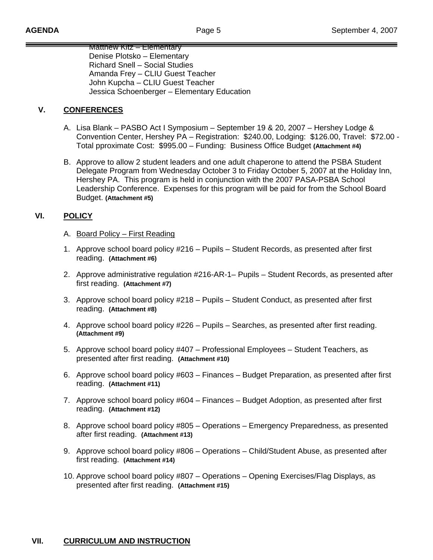Matthew Kitz – Elementary Denise Plotsko – Elementary Richard Snell – Social Studies Amanda Frey – CLIU Guest Teacher John Kupcha – CLIU Guest Teacher Jessica Schoenberger – Elementary Education

# **V. CONFERENCES**

- A. Lisa Blank PASBO Act I Symposium September 19 & 20, 2007 Hershey Lodge & Convention Center, Hershey PA – Registration: \$240.00, Lodging: \$126.00, Travel: \$72.00 - Total pproximate Cost: \$995.00 – Funding: Business Office Budget **(Attachment #4)**
- B. Approve to allow 2 student leaders and one adult chaperone to attend the PSBA Student Delegate Program from Wednesday October 3 to Friday October 5, 2007 at the Holiday Inn, Hershey PA. This program is held in conjunction with the 2007 PASA-PSBA School Leadership Conference. Expenses for this program will be paid for from the School Board Budget. **(Attachment #5)**

# **VI. POLICY**

- A. Board Policy First Reading
- 1. Approve school board policy #216 Pupils Student Records, as presented after first reading. **(Attachment #6)**
- 2. Approve administrative regulation #216-AR-1– Pupils Student Records, as presented after first reading. **(Attachment #7)**
- 3. Approve school board policy #218 Pupils Student Conduct, as presented after first reading. **(Attachment #8)**
- 4. Approve school board policy #226 Pupils Searches, as presented after first reading. **(Attachment #9)**
- 5. Approve school board policy #407 Professional Employees Student Teachers, as presented after first reading. **(Attachment #10)**
- 6. Approve school board policy #603 Finances Budget Preparation, as presented after first reading. **(Attachment #11)**
- 7. Approve school board policy #604 Finances Budget Adoption, as presented after first reading. **(Attachment #12)**
- 8. Approve school board policy #805 Operations Emergency Preparedness, as presented after first reading. **(Attachment #13)**
- 9. Approve school board policy #806 Operations Child/Student Abuse, as presented after first reading. **(Attachment #14)**
- 10. Approve school board policy #807 Operations Opening Exercises/Flag Displays, as presented after first reading. **(Attachment #15)**

# **VII. CURRICULUM AND INSTRUCTION**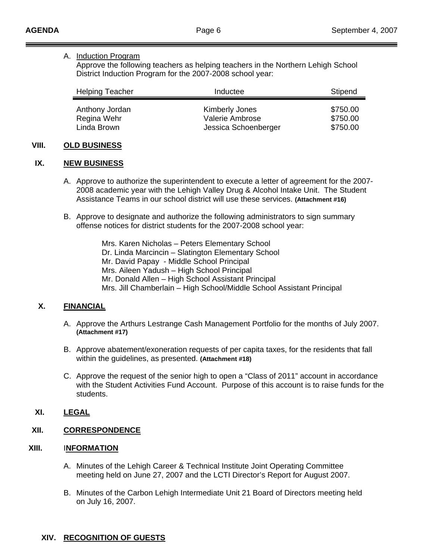### A. Induction Program

 Approve the following teachers as helping teachers in the Northern Lehigh School District Induction Program for the 2007-2008 school year:

| <b>Helping Teacher</b>        | Inductee                          | Stipend              |
|-------------------------------|-----------------------------------|----------------------|
| Anthony Jordan<br>Regina Wehr | Kimberly Jones<br>Valerie Ambrose | \$750.00<br>\$750.00 |
| Linda Brown                   | Jessica Schoenberger              | \$750.00             |

### **VIII. OLD BUSINESS**

### **IX. NEW BUSINESS**

- A. Approve to authorize the superintendent to execute a letter of agreement for the 2007- 2008 academic year with the Lehigh Valley Drug & Alcohol Intake Unit. The Student Assistance Teams in our school district will use these services. **(Attachment #16)**
- B. Approve to designate and authorize the following administrators to sign summary offense notices for district students for the 2007-2008 school year:

 Mrs. Karen Nicholas – Peters Elementary School Dr. Linda Marcincin – Slatington Elementary School Mr. David Papay - Middle School Principal Mrs. Aileen Yadush – High School Principal Mr. Donald Allen – High School Assistant Principal Mrs. Jill Chamberlain – High School/Middle School Assistant Principal

# **X. FINANCIAL**

- A. Approve the Arthurs Lestrange Cash Management Portfolio for the months of July 2007. **(Attachment #17)**
- B. Approve abatement/exoneration requests of per capita taxes, for the residents that fall within the guidelines, as presented. **(Attachment #18)**
- C. Approve the request of the senior high to open a "Class of 2011" account in accordance with the Student Activities Fund Account. Purpose of this account is to raise funds for the students.

# **XI. LEGAL**

# **XII. CORRESPONDENCE**

## **XIII.** I**NFORMATION**

- A. Minutes of the Lehigh Career & Technical Institute Joint Operating Committee meeting held on June 27, 2007 and the LCTI Director's Report for August 2007.
- B. Minutes of the Carbon Lehigh Intermediate Unit 21 Board of Directors meeting held on July 16, 2007.

# **XIV. RECOGNITION OF GUESTS**